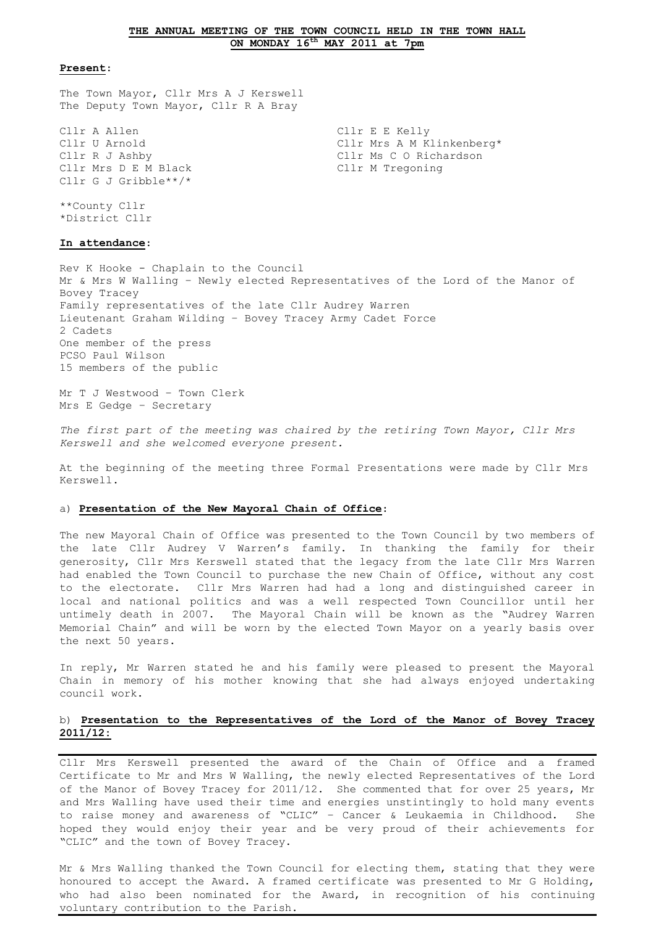### **THE ANNUAL MEETING OF THE TOWN COUNCIL HELD IN THE TOWN HALL ON MONDAY 16th MAY 2011 at 7pm**

#### **Present**:

The Town Mayor, Cllr Mrs A J Kerswell The Deputy Town Mayor, Cllr R A Bray

Cllr A Allen Cllr E E Kelly Cllr U Arnold Cllr Mrs A M Klinkenberg\* Cllr R J Ashby Cllr Ms C O Richardson Cllr Mrs D E M Black Cllr M Tregoning Cllr G J Gribble\*\*/\*

\*\*County Cllr \*District Cllr

#### **In attendance**:

Rev K Hooke - Chaplain to the Council Mr & Mrs W Walling – Newly elected Representatives of the Lord of the Manor of Bovey Tracey Family representatives of the late Cllr Audrey Warren Lieutenant Graham Wilding – Bovey Tracey Army Cadet Force 2 Cadets One member of the press PCSO Paul Wilson 15 members of the public

Mr T J Westwood – Town Clerk Mrs E Gedge – Secretary

*The first part of the meeting was chaired by the retiring Town Mayor, Cllr Mrs Kerswell and she welcomed everyone present.*

At the beginning of the meeting three Formal Presentations were made by Cllr Mrs Kerswell.

#### a) **Presentation of the New Mayoral Chain of Office**:

The new Mayoral Chain of Office was presented to the Town Council by two members of the late Cllr Audrey V Warren's family. In thanking the family for their generosity, Cllr Mrs Kerswell stated that the legacy from the late Cllr Mrs Warren had enabled the Town Council to purchase the new Chain of Office, without any cost to the electorate. Cllr Mrs Warren had had a long and distinguished career in local and national politics and was a well respected Town Councillor until her untimely death in 2007. The Mayoral Chain will be known as the "Audrey Warren Memorial Chain" and will be worn by the elected Town Mayor on a yearly basis over the next 50 years.

In reply, Mr Warren stated he and his family were pleased to present the Mayoral Chain in memory of his mother knowing that she had always enjoyed undertaking council work.

## b) **Presentation to the Representatives of the Lord of the Manor of Bovey Tracey 2011/12:**

Cllr Mrs Kerswell presented the award of the Chain of Office and a framed Certificate to Mr and Mrs W Walling, the newly elected Representatives of the Lord of the Manor of Bovey Tracey for 2011/12. She commented that for over 25 years, Mr and Mrs Walling have used their time and energies unstintingly to hold many events to raise money and awareness of "CLIC" – Cancer & Leukaemia in Childhood. She hoped they would enjoy their year and be very proud of their achievements for "CLIC" and the town of Bovey Tracey.

Mr & Mrs Walling thanked the Town Council for electing them, stating that they were honoured to accept the Award. A framed certificate was presented to Mr G Holding, who had also been nominated for the Award, in recognition of his continuing voluntary contribution to the Parish.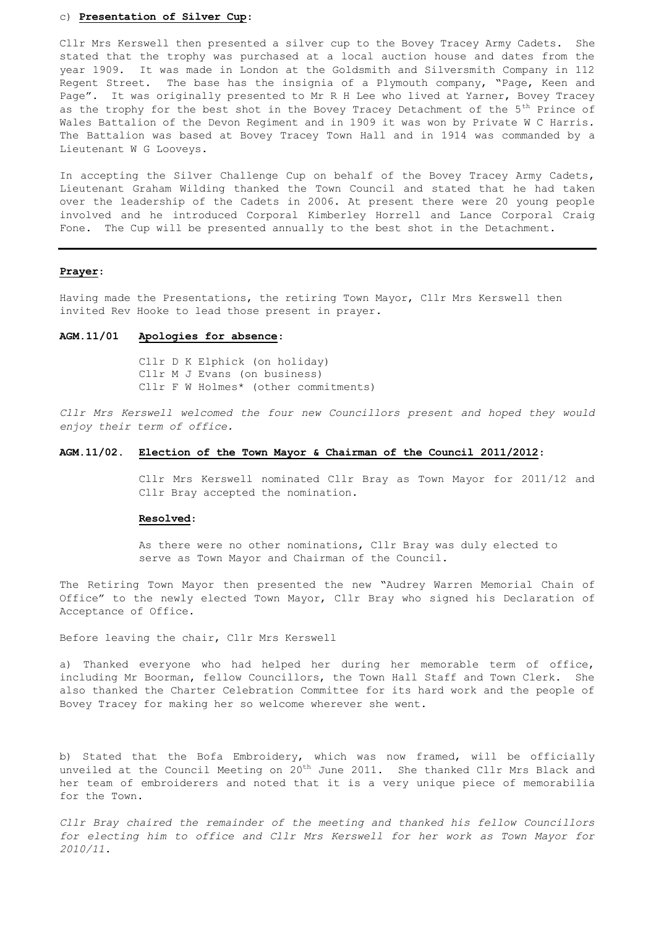## c) **Presentation of Silver Cup**:

Cllr Mrs Kerswell then presented a silver cup to the Bovey Tracey Army Cadets. She stated that the trophy was purchased at a local auction house and dates from the year 1909. It was made in London at the Goldsmith and Silversmith Company in 112 Regent Street. The base has the insignia of a Plymouth company, "Page, Keen and Page". It was originally presented to Mr R H Lee who lived at Yarner, Bovey Tracey as the trophy for the best shot in the Bovey Tracey Detachment of the  $5<sup>th</sup>$  Prince of Wales Battalion of the Devon Regiment and in 1909 it was won by Private W C Harris. The Battalion was based at Bovey Tracey Town Hall and in 1914 was commanded by a Lieutenant W G Looveys.

In accepting the Silver Challenge Cup on behalf of the Bovey Tracey Army Cadets, Lieutenant Graham Wilding thanked the Town Council and stated that he had taken over the leadership of the Cadets in 2006. At present there were 20 young people involved and he introduced Corporal Kimberley Horrell and Lance Corporal Craig Fone. The Cup will be presented annually to the best shot in the Detachment.

### **Prayer**:

Having made the Presentations, the retiring Town Mayor, Cllr Mrs Kerswell then invited Rev Hooke to lead those present in prayer.

### **AGM.11/01 Apologies for absence**:

Cllr D K Elphick (on holiday) Cllr M J Evans (on business) Cllr F W Holmes\* (other commitments)

*Cllr Mrs Kerswell welcomed the four new Councillors present and hoped they would enjoy their term of office.*

## **AGM.11/02. Election of the Town Mayor & Chairman of the Council 2011/2012**:

Cllr Mrs Kerswell nominated Cllr Bray as Town Mayor for 2011/12 and Cllr Bray accepted the nomination.

#### **Resolved**:

As there were no other nominations, Cllr Bray was duly elected to serve as Town Mayor and Chairman of the Council.

The Retiring Town Mayor then presented the new "Audrey Warren Memorial Chain of Office" to the newly elected Town Mayor, Cllr Bray who signed his Declaration of Acceptance of Office.

Before leaving the chair, Cllr Mrs Kerswell

a) Thanked everyone who had helped her during her memorable term of office, including Mr Boorman, fellow Councillors, the Town Hall Staff and Town Clerk. She also thanked the Charter Celebration Committee for its hard work and the people of Bovey Tracey for making her so welcome wherever she went.

b) Stated that the Bofa Embroidery, which was now framed, will be officially unveiled at the Council Meeting on 20<sup>th</sup> June 2011. She thanked Cllr Mrs Black and her team of embroiderers and noted that it is a very unique piece of memorabilia for the Town.

*Cllr Bray chaired the remainder of the meeting and thanked his fellow Councillors for electing him to office and Cllr Mrs Kerswell for her work as Town Mayor for 2010/11.*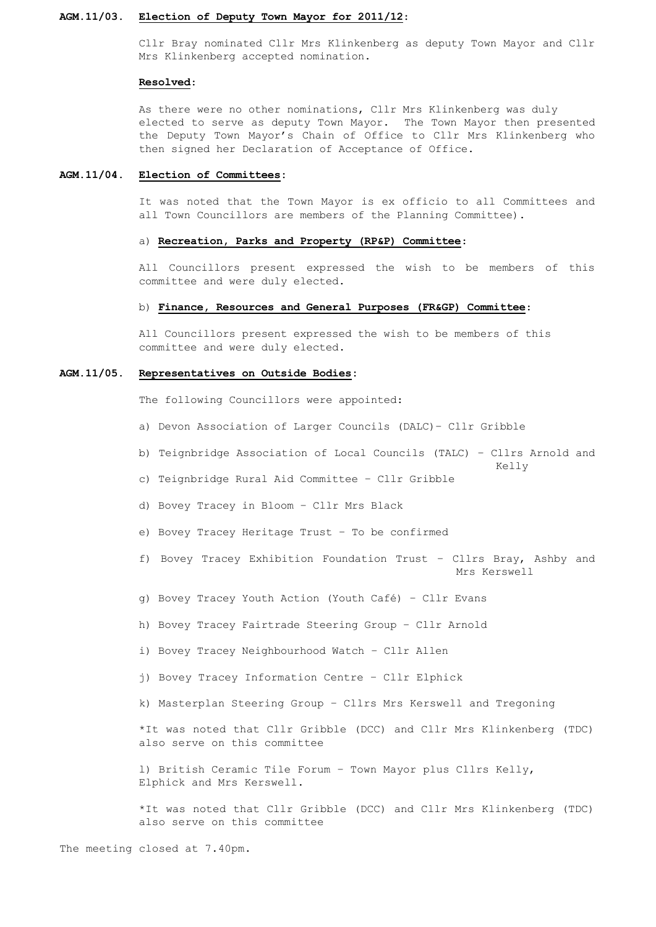### **AGM.11/03. Election of Deputy Town Mayor for 2011/12**:

Cllr Bray nominated Cllr Mrs Klinkenberg as deputy Town Mayor and Cllr Mrs Klinkenberg accepted nomination.

#### **Resolved**:

As there were no other nominations, Cllr Mrs Klinkenberg was duly elected to serve as deputy Town Mayor. The Town Mayor then presented the Deputy Town Mayor's Chain of Office to Cllr Mrs Klinkenberg who then signed her Declaration of Acceptance of Office.

### **AGM.11/04. Election of Committees:**

It was noted that the Town Mayor is ex officio to all Committees and all Town Councillors are members of the Planning Committee).

### a) **Recreation, Parks and Property (RP&P) Committee**:

All Councillors present expressed the wish to be members of this committee and were duly elected.

## b) **Finance, Resources and General Purposes (FR&GP) Committee**:

All Councillors present expressed the wish to be members of this committee and were duly elected.

#### **AGM.11/05. Representatives on Outside Bodies:**

The following Councillors were appointed:

- a) Devon Association of Larger Councils (DALC)– Cllr Gribble
- b) Teignbridge Association of Local Councils (TALC) Cllrs Arnold and

Kelly

- c) Teignbridge Rural Aid Committee Cllr Gribble
- d) Bovey Tracey in Bloom Cllr Mrs Black
- e) Bovey Tracey Heritage Trust To be confirmed
- f) Bovey Tracey Exhibition Foundation Trust Cllrs Bray, Ashby and Mrs Kerswell
- g) Bovey Tracey Youth Action (Youth Café) Cllr Evans
- h) Bovey Tracey Fairtrade Steering Group Cllr Arnold
- i) Bovey Tracey Neighbourhood Watch Cllr Allen
- j) Bovey Tracey Information Centre Cllr Elphick
- k) Masterplan Steering Group Cllrs Mrs Kerswell and Tregoning

\*It was noted that Cllr Gribble (DCC) and Cllr Mrs Klinkenberg (TDC) also serve on this committee

l) British Ceramic Tile Forum – Town Mayor plus Cllrs Kelly, Elphick and Mrs Kerswell.

\*It was noted that Cllr Gribble (DCC) and Cllr Mrs Klinkenberg (TDC) also serve on this committee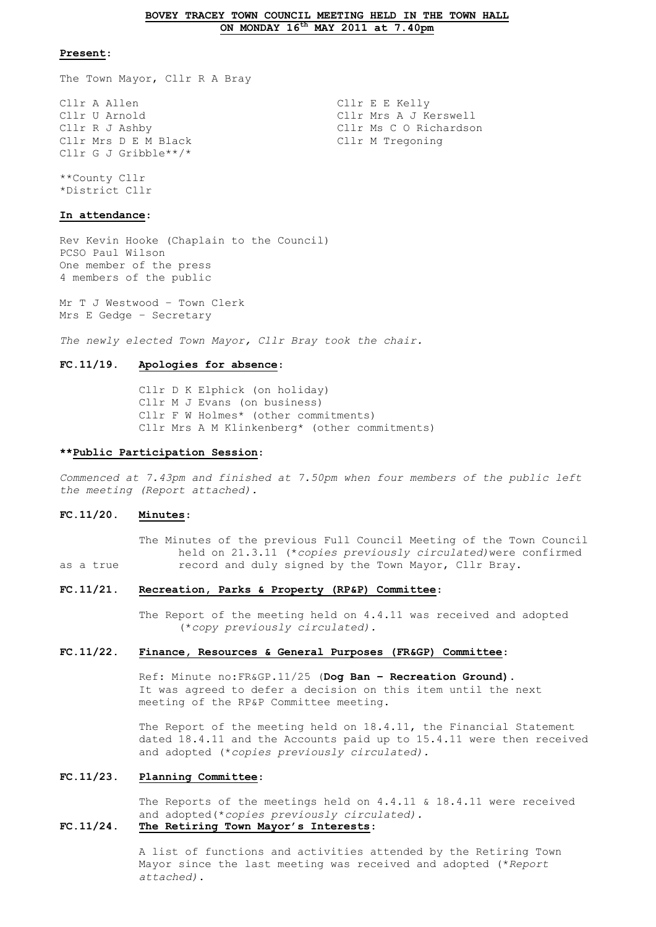#### **BOVEY TRACEY TOWN COUNCIL MEETING HELD IN THE TOWN HALL ON MONDAY 16th MAY 2011 at 7.40pm**

### **Present**:

The Town Mayor, Cllr R A Bray

Cllr A Allen Cllr E E Kelly Cllr U Arnold Cllr Mrs A J Kerswell Cllr Mrs D E M Black Cllr G J Gribble\*\*/\*

Cllr R J Ashby<br>
Cllr Ms C O Richardson<br>
Cllr M Tregoning

\*\*County Cllr \*District Cllr

#### **In attendance**:

Rev Kevin Hooke (Chaplain to the Council) PCSO Paul Wilson One member of the press 4 members of the public

Mr T J Westwood – Town Clerk Mrs E Gedge – Secretary

*The newly elected Town Mayor, Cllr Bray took the chair.*

#### **FC.11/19. Apologies for absence**:

Cllr D K Elphick (on holiday) Cllr M J Evans (on business) Cllr F W Holmes\* (other commitments) Cllr Mrs A M Klinkenberg\* (other commitments)

#### **\*\*Public Participation Session**:

*Commenced at 7.43pm and finished at 7.50pm when four members of the public left the meeting (Report attached).*

#### **FC.11/20. Minutes**:

The Minutes of the previous Full Council Meeting of the Town Council held on 21.3.11 (\**copies previously circulated)*were confirmed as a true record and duly signed by the Town Mayor, Cllr Bray.

#### **FC.11/21. Recreation, Parks & Property (RP&P) Committee**:

The Report of the meeting held on 4.4.11 was received and adopted (\**copy previously circulated).*

### **FC.11/22. Finance, Resources & General Purposes (FR&GP) Committee**:

Ref: Minute no:FR&GP.11/25 (**Dog Ban – Recreation Ground)**. It was agreed to defer a decision on this item until the next meeting of the RP&P Committee meeting.

The Report of the meeting held on 18.4.11, the Financial Statement dated 18.4.11 and the Accounts paid up to 15.4.11 were then received and adopted (\**copies previously circulated).*

## **FC.11/23. Planning Committee**:

The Reports of the meetings held on 4.4.11 & 18.4.11 were received and adopted(\**copies previously circulated).* **FC.11/24. The Retiring Town Mayor's Interests**:

> A list of functions and activities attended by the Retiring Town Mayor since the last meeting was received and adopted (\**Report attached)*.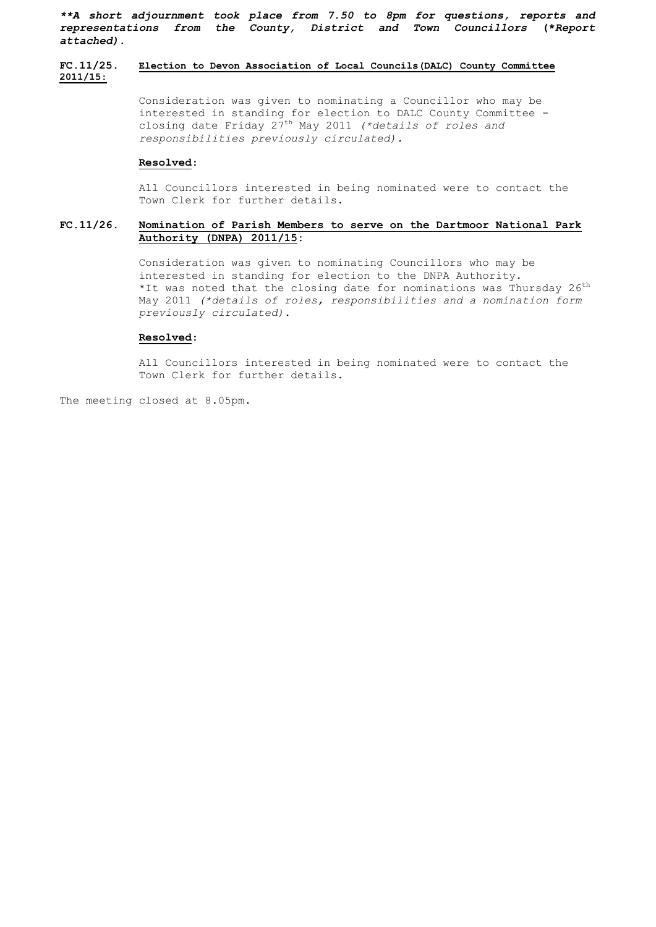*\*\*A short adjournment took place from 7.50 to 8pm for questions, reports and representations from the County, District and Town Councillors* **(\****Report attached).*

## **FC.11/25. Election to Devon Association of Local Councils(DALC) County Committee 2011/15**:

Consideration was given to nominating a Councillor who may be interested in standing for election to DALC County Committee closing date Friday 27th May 2011 *(\*details of roles and responsibilities previously circulated).*

### **Resolved**:

All Councillors interested in being nominated were to contact the Town Clerk for further details.

## **FC.11/26. Nomination of Parish Members to serve on the Dartmoor National Park Authority (DNPA) 2011/15:**

Consideration was given to nominating Councillors who may be interested in standing for election to the DNPA Authority. \*It was noted that the closing date for nominations was Thursday  $26^{th}$ May 2011 *(\*details of roles, responsibilities and a nomination form previously circulated)*.

### **Resolved**:

All Councillors interested in being nominated were to contact the Town Clerk for further details.

The meeting closed at 8.05pm.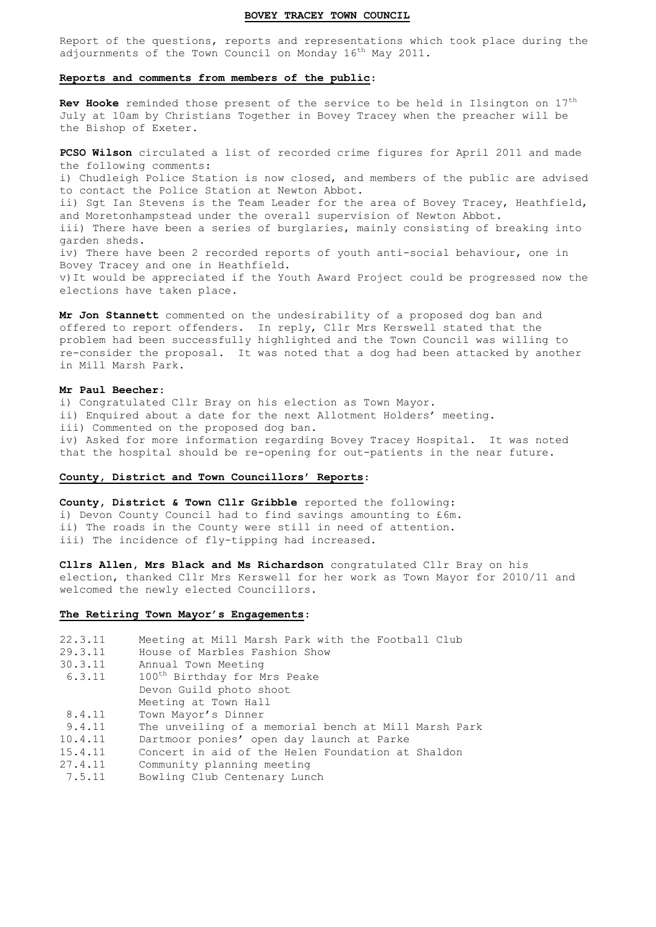### **BOVEY TRACEY TOWN COUNCIL**

Report of the questions, reports and representations which took place during the adjournments of the Town Council on Monday 16<sup>th</sup> May 2011.

### **Reports and comments from members of the public**:

Rev Hooke reminded those present of the service to be held in Ilsington on 17<sup>th</sup> July at 10am by Christians Together in Bovey Tracey when the preacher will be the Bishop of Exeter.

**PCSO Wilson** circulated a list of recorded crime figures for April 2011 and made the following comments: i) Chudleigh Police Station is now closed, and members of the public are advised to contact the Police Station at Newton Abbot. ii) Sgt Ian Stevens is the Team Leader for the area of Bovey Tracey, Heathfield, and Moretonhampstead under the overall supervision of Newton Abbot. iii) There have been a series of burglaries, mainly consisting of breaking into garden sheds. iv) There have been 2 recorded reports of youth anti-social behaviour, one in Bovey Tracey and one in Heathfield. v)It would be appreciated if the Youth Award Project could be progressed now the elections have taken place.

**Mr Jon Stannett** commented on the undesirability of a proposed dog ban and offered to report offenders. In reply, Cllr Mrs Kerswell stated that the problem had been successfully highlighted and the Town Council was willing to re-consider the proposal. It was noted that a dog had been attacked by another in Mill Marsh Park.

#### **Mr Paul Beecher**:

i) Congratulated Cllr Bray on his election as Town Mayor. ii) Enquired about a date for the next Allotment Holders' meeting. iii) Commented on the proposed dog ban. iv) Asked for more information regarding Bovey Tracey Hospital. It was noted that the hospital should be re-opening for out-patients in the near future.

## **County, District and Town Councillors' Reports**:

**County, District & Town Cllr Gribble** reported the following: i) Devon County Council had to find savings amounting to £6m. ii) The roads in the County were still in need of attention. iii) The incidence of fly-tipping had increased.

**Cllrs Allen, Mrs Black and Ms Richardson** congratulated Cllr Bray on his election, thanked Cllr Mrs Kerswell for her work as Town Mayor for 2010/11 and welcomed the newly elected Councillors.

#### **The Retiring Town Mayor's Engagements**:

| 22.3.11<br>29.3.11 | Meeting at Mill Marsh Park with the Football Club<br>House of Marbles Fashion Show |  |  |
|--------------------|------------------------------------------------------------------------------------|--|--|
| 30.3.11            | Annual Town Meeting                                                                |  |  |
| 6.3.11             | 100 <sup>th</sup> Birthday for Mrs Peake                                           |  |  |
|                    | Devon Guild photo shoot                                                            |  |  |
|                    | Meeting at Town Hall                                                               |  |  |
| 8.4.11             | Town Mayor's Dinner                                                                |  |  |
| 9.4.11             | The unveiling of a memorial bench at Mill Marsh Park                               |  |  |
| 10.4.11            | Dartmoor ponies' open day launch at Parke                                          |  |  |
| 15.4.11            | Concert in aid of the Helen Foundation at Shaldon                                  |  |  |
| 27.4.11            | Community planning meeting                                                         |  |  |
| 7.5.11             | Bowling Club Centenary Lunch                                                       |  |  |
|                    |                                                                                    |  |  |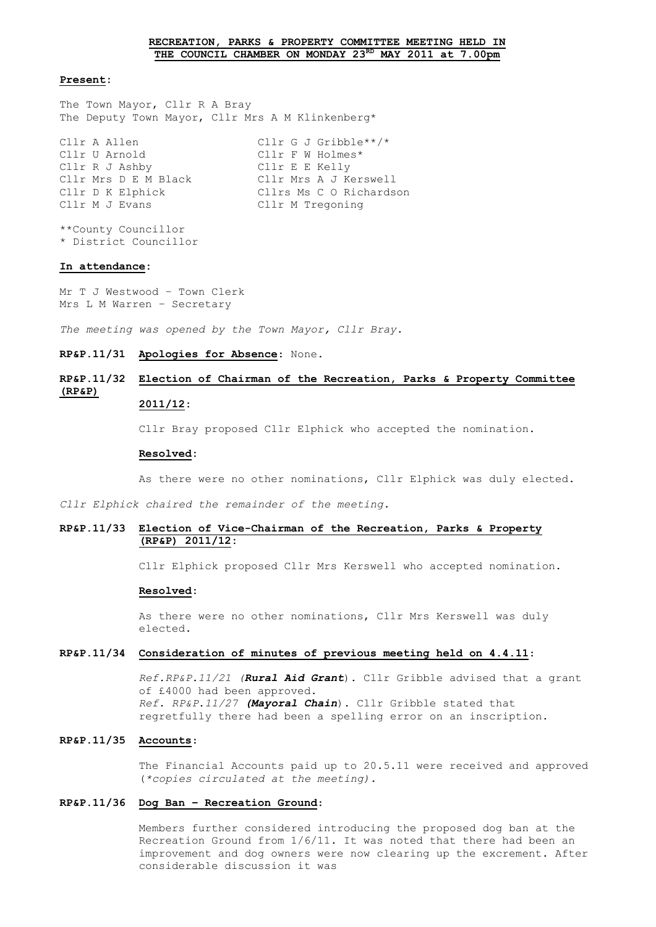#### **Present:**

The Town Mayor, Cllr R A Bray The Deputy Town Mayor, Cllr Mrs A M Klinkenberg\*

| Cllr A Allen         | Cllr G J Gribble**/*    |
|----------------------|-------------------------|
| Cllr U Arnold        | Cllr F W Holmes*        |
| Cllr R J Ashby       | Cllr E E Kelly          |
| Cllr Mrs D E M Black | Cllr Mrs A J Kerswell   |
| Cllr D K Elphick     | Cllrs Ms C O Richardson |
| Cllr M J Evans       | Cllr M Tregoning        |
|                      |                         |

\*\*County Councillor \* District Councillor

#### **In attendance:**

Mr T J Westwood – Town Clerk Mrs L M Warren – Secretary

*The meeting was opened by the Town Mayor, Cllr Bray.* 

### **RP&P.11/31 Apologies for Absence**: None.

# **RP&P.11/32 Election of Chairman of the Recreation, Parks & Property Committee (RP&P)**

# **2011/12:**

Cllr Bray proposed Cllr Elphick who accepted the nomination.

#### **Resolved:**

As there were no other nominations, Cllr Elphick was duly elected.

*Cllr Elphick chaired the remainder of the meeting.*

## **RP&P.11/33 Election of Vice-Chairman of the Recreation, Parks & Property (RP&P) 2011/12:**

Cllr Elphick proposed Cllr Mrs Kerswell who accepted nomination.

#### **Resolved:**

As there were no other nominations, Cllr Mrs Kerswell was duly elected.

#### **RP&P.11/34 Consideration of minutes of previous meeting held on 4.4.11**:

*Ref.RP&P.11/21 (Rural Aid Grant*). Cllr Gribble advised that a grant of £4000 had been approved. *Ref. RP&P.11/27 (Mayoral Chain*). Cllr Gribble stated that regretfully there had been a spelling error on an inscription.

## **RP&P.11/35 Accounts**:

The Financial Accounts paid up to 20.5.11 were received and approved (*\*copies circulated at the meeting).*

#### **RP&P.11/36 Dog Ban – Recreation Ground**:

Members further considered introducing the proposed dog ban at the Recreation Ground from 1/6/11. It was noted that there had been an improvement and dog owners were now clearing up the excrement. After considerable discussion it was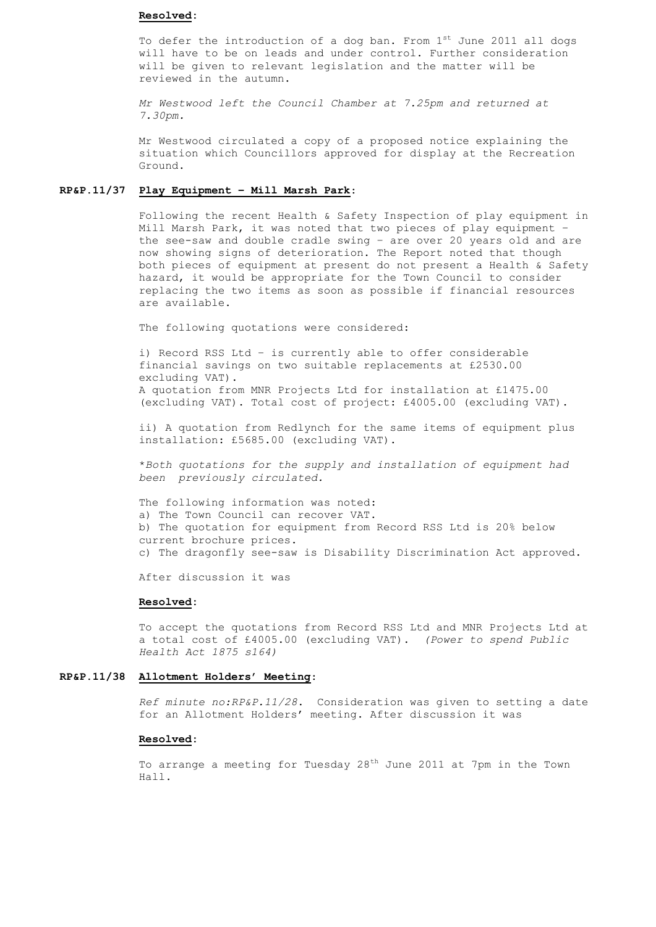#### **Resolved:**

To defer the introduction of a dog ban. From  $1<sup>st</sup>$  June 2011 all dogs will have to be on leads and under control. Further consideration will be given to relevant legislation and the matter will be reviewed in the autumn.

*Mr Westwood left the Council Chamber at 7.25pm and returned at 7.30pm.*

Mr Westwood circulated a copy of a proposed notice explaining the situation which Councillors approved for display at the Recreation Ground.

## **RP&P.11/37 Play Equipment – Mill Marsh Park**:

Following the recent Health & Safety Inspection of play equipment in Mill Marsh Park, it was noted that two pieces of play equipment – the see-saw and double cradle swing – are over 20 years old and are now showing signs of deterioration. The Report noted that though both pieces of equipment at present do not present a Health & Safety hazard, it would be appropriate for the Town Council to consider replacing the two items as soon as possible if financial resources are available.

The following quotations were considered:

i) Record RSS Ltd – is currently able to offer considerable financial savings on two suitable replacements at £2530.00 excluding VAT). A quotation from MNR Projects Ltd for installation at £1475.00 (excluding VAT). Total cost of project: £4005.00 (excluding VAT).

ii) A quotation from Redlynch for the same items of equipment plus installation: £5685.00 (excluding VAT).

\**Both quotations for the supply and installation of equipment had been previously circulated.*

The following information was noted: a) The Town Council can recover VAT. b) The quotation for equipment from Record RSS Ltd is 20% below current brochure prices. c) The dragonfly see-saw is Disability Discrimination Act approved.

After discussion it was

#### **Resolved:**

To accept the quotations from Record RSS Ltd and MNR Projects Ltd at a total cost of £4005.00 (excluding VAT). *(Power to spend Public Health Act 1875 s164)*

### **RP&P.11/38 Allotment Holders' Meeting**:

*Ref minute no:RP&P.11/28*. Consideration was given to setting a date for an Allotment Holders' meeting. After discussion it was

### **Resolved:**

To arrange a meeting for Tuesday 28<sup>th</sup> June 2011 at 7pm in the Town Hall.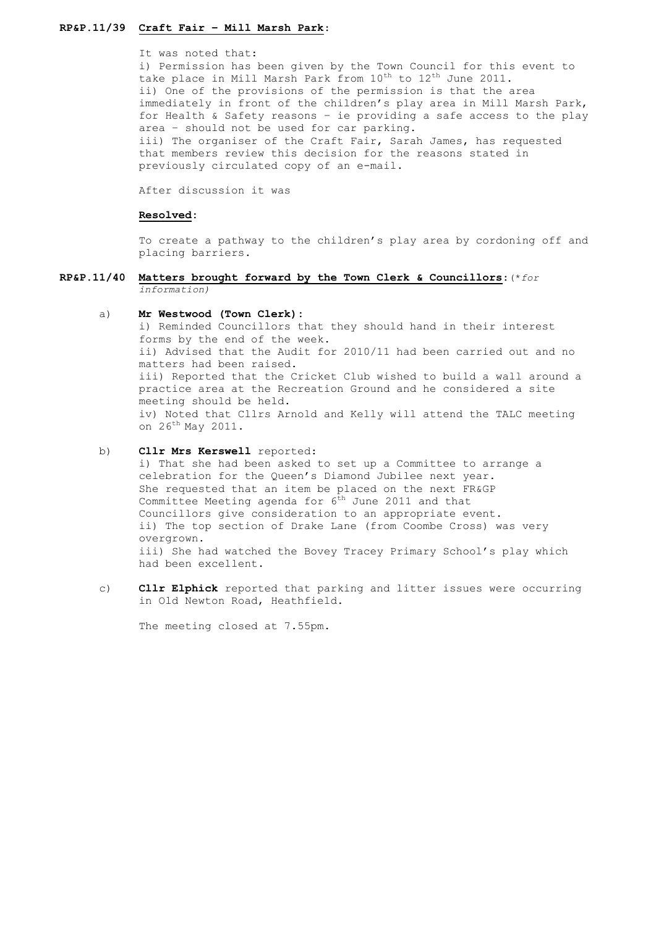# **RP&P.11/39 Craft Fair – Mill Marsh Park**:

It was noted that:

i) Permission has been given by the Town Council for this event to take place in Mill Marsh Park from 10<sup>th</sup> to 12<sup>th</sup> June 2011. ii) One of the provisions of the permission is that the area immediately in front of the children's play area in Mill Marsh Park, for Health & Safety reasons – ie providing a safe access to the play area – should not be used for car parking. iii) The organiser of the Craft Fair, Sarah James, has requested that members review this decision for the reasons stated in previously circulated copy of an e-mail.

After discussion it was

#### **Resolved:**

To create a pathway to the children's play area by cordoning off and placing barriers.

## **RP&P.11/40 Matters brought forward by the Town Clerk & Councillors**:(\**for information)*

#### a) **Mr Westwood (Town Clerk):**

i) Reminded Councillors that they should hand in their interest forms by the end of the week. ii) Advised that the Audit for 2010/11 had been carried out and no matters had been raised. iii) Reported that the Cricket Club wished to build a wall around a practice area at the Recreation Ground and he considered a site meeting should be held. iv) Noted that Cllrs Arnold and Kelly will attend the TALC meeting on 26th May 2011.

## b) **Cllr Mrs Kerswell** reported:

i) That she had been asked to set up a Committee to arrange a celebration for the Queen's Diamond Jubilee next year. She requested that an item be placed on the next FR&GP Committee Meeting agenda for  $6<sup>th</sup>$  June 2011 and that Councillors give consideration to an appropriate event. ii) The top section of Drake Lane (from Coombe Cross) was very overgrown. iii) She had watched the Bovey Tracey Primary School's play which had been excellent.

c) **Cllr Elphick** reported that parking and litter issues were occurring in Old Newton Road, Heathfield.

The meeting closed at 7.55pm.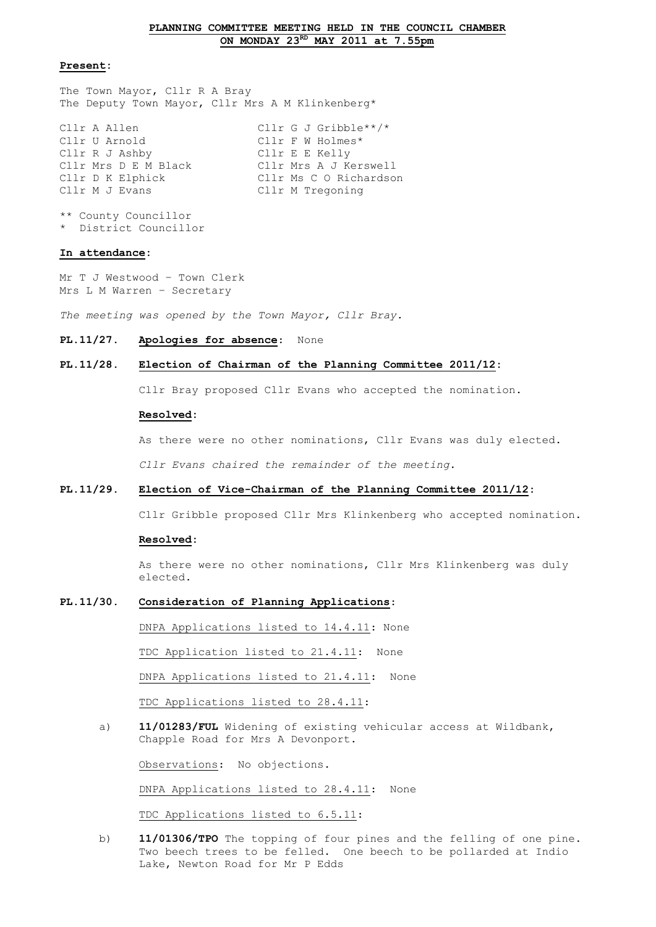## **Present:**

The Town Mayor, Cllr R A Bray The Deputy Town Mayor, Cllr Mrs A M Klinkenberg\*

| Cllr A Allen         | Cllr G J Gribble**/*   |
|----------------------|------------------------|
| Cllr U Arnold        | Cllr $F$ W Holmes*     |
| Cllr R J Ashby       | Cllr E E Kelly         |
| Cllr Mrs D E M Black | Cllr Mrs A J Kerswell  |
| Cllr D K Elphick     | Cllr Ms C O Richardson |
| Cllr M J Evans       | Cllr M Tregoning       |
|                      |                        |

```
** County Councillor
* District Councillor
```
#### **In attendance:**

Mr T J Westwood – Town Clerk Mrs L M Warren – Secretary

*The meeting was opened by the Town Mayor, Cllr Bray.*

#### **PL.11/27. Apologies for absence**: None

### **PL.11/28. Election of Chairman of the Planning Committee 2011/12:**

Cllr Bray proposed Cllr Evans who accepted the nomination.

#### **Resolved:**

As there were no other nominations, Cllr Evans was duly elected.

*Cllr Evans chaired the remainder of the meeting.*

## **PL.11/29. Election of Vice-Chairman of the Planning Committee 2011/12:**

Cllr Gribble proposed Cllr Mrs Klinkenberg who accepted nomination.

#### **Resolved:**

As there were no other nominations, Cllr Mrs Klinkenberg was duly elected.

## **PL.11/30. Consideration of Planning Applications**:

DNPA Applications listed to 14.4.11: None

TDC Application listed to 21.4.11: None

DNPA Applications listed to 21.4.11: None

TDC Applications listed to 28.4.11:

a) **11/01283/FUL** Widening of existing vehicular access at Wildbank, Chapple Road for Mrs A Devonport.

Observations: No objections.

DNPA Applications listed to 28.4.11: None

TDC Applications listed to 6.5.11:

b) **11/01306/TPO** The topping of four pines and the felling of one pine. Two beech trees to be felled. One beech to be pollarded at Indio Lake, Newton Road for Mr P Edds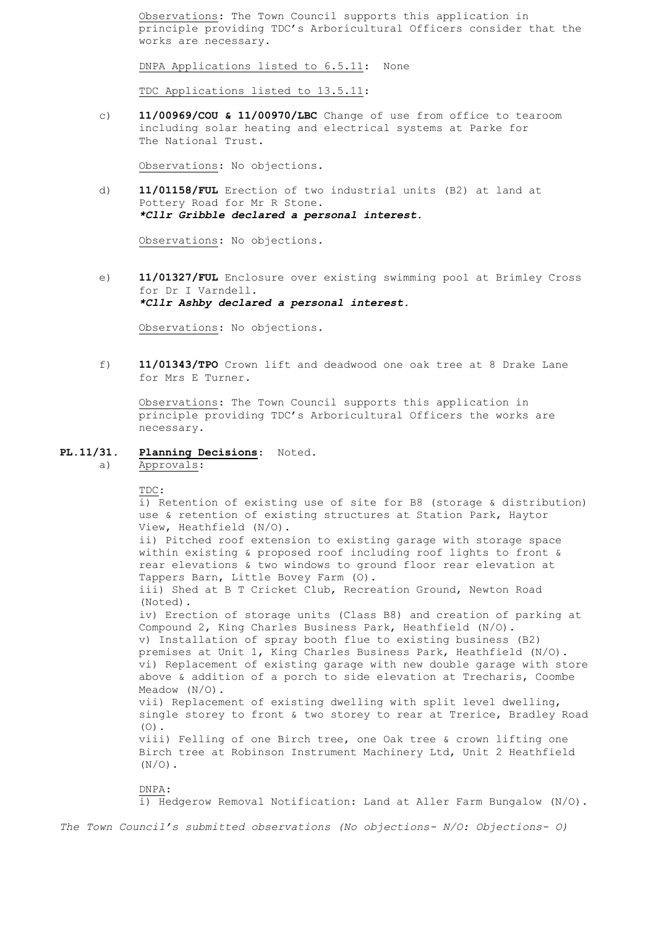Observations: The Town Council supports this application in principle providing TDC's Arboricultural Officers consider that the works are necessary.

DNPA Applications listed to 6.5.11: None

TDC Applications listed to 13.5.11:

c) **11/00969/COU & 11/00970/LBC** Change of use from office to tearoom including solar heating and electrical systems at Parke for The National Trust.

Observations: No objections.

d) **11/01158/FUL** Erection of two industrial units (B2) at land at Pottery Road for Mr R Stone. *\*Cllr Gribble declared a personal interest.*

Observations: No objections.

e) **11/01327/FUL** Enclosure over existing swimming pool at Brimley Cross for Dr I Varndell. *\*Cllr Ashby declared a personal interest.*

Observations: No objections.

f) **11/01343/TPO** Crown lift and deadwood one oak tree at 8 Drake Lane for Mrs E Turner.

Observations: The Town Council supports this application in principle providing TDC's Arboricultural Officers the works are necessary.

- **PL.11/31. Planning Decisions**: Noted.
	- a) Approvals:

TDC:

i) Retention of existing use of site for B8 (storage & distribution) use & retention of existing structures at Station Park, Haytor View, Heathfield (N/O). ii) Pitched roof extension to existing garage with storage space within existing & proposed roof including roof lights to front & rear elevations & two windows to ground floor rear elevation at Tappers Barn, Little Bovey Farm (O). iii) Shed at B T Cricket Club, Recreation Ground, Newton Road (Noted). iv) Erection of storage units (Class B8) and creation of parking at Compound 2, King Charles Business Park, Heathfield (N/O). v) Installation of spray booth flue to existing business (B2) premises at Unit 1, King Charles Business Park, Heathfield (N/O). vi) Replacement of existing garage with new double garage with store above & addition of a porch to side elevation at Trecharis, Coombe Meadow (N/O). vii) Replacement of existing dwelling with split level dwelling, single storey to front & two storey to rear at Trerice, Bradley Road  $(0)$ . viii) Felling of one Birch tree, one Oak tree & crown lifting one Birch tree at Robinson Instrument Machinery Ltd, Unit 2 Heathfield  $(N/O)$ . DNPA: i) Hedgerow Removal Notification: Land at Aller Farm Bungalow (N/O).

*The Town Council's submitted observations (No objections- N/O: Objections- O)*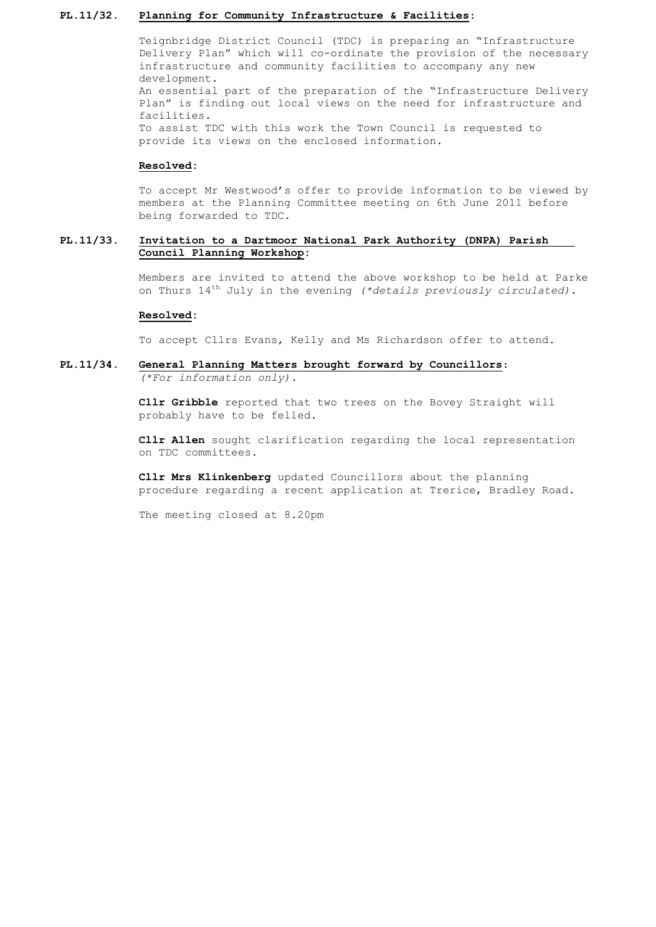### **PL.11/32. Planning for Community Infrastructure & Facilities**:

Teignbridge District Council (TDC) is preparing an "Infrastructure Delivery Plan" which will co-ordinate the provision of the necessary infrastructure and community facilities to accompany any new development. An essential part of the preparation of the "Infrastructure Delivery Plan" is finding out local views on the need for infrastructure and facilities. To assist TDC with this work the Town Council is requested to provide its views on the enclosed information.

### **Resolved:**

To accept Mr Westwood's offer to provide information to be viewed by members at the Planning Committee meeting on 6th June 2011 before being forwarded to TDC.

## **PL.11/33. Invitation to a Dartmoor National Park Authority (DNPA) Parish Council Planning Workshop:**

Members are invited to attend the above workshop to be held at Parke on Thurs 14th July in the evening *(\*details previously circulated)*.

#### **Resolved:**

To accept Cllrs Evans, Kelly and Ms Richardson offer to attend.

## **PL.11/34. General Planning Matters brought forward by Councillors**: *(\*For information only).*

**Cllr Gribble** reported that two trees on the Bovey Straight will probably have to be felled.

**Cllr Allen** sought clarification regarding the local representation on TDC committees.

**Cllr Mrs Klinkenberg** updated Councillors about the planning procedure regarding a recent application at Trerice, Bradley Road.

The meeting closed at 8.20pm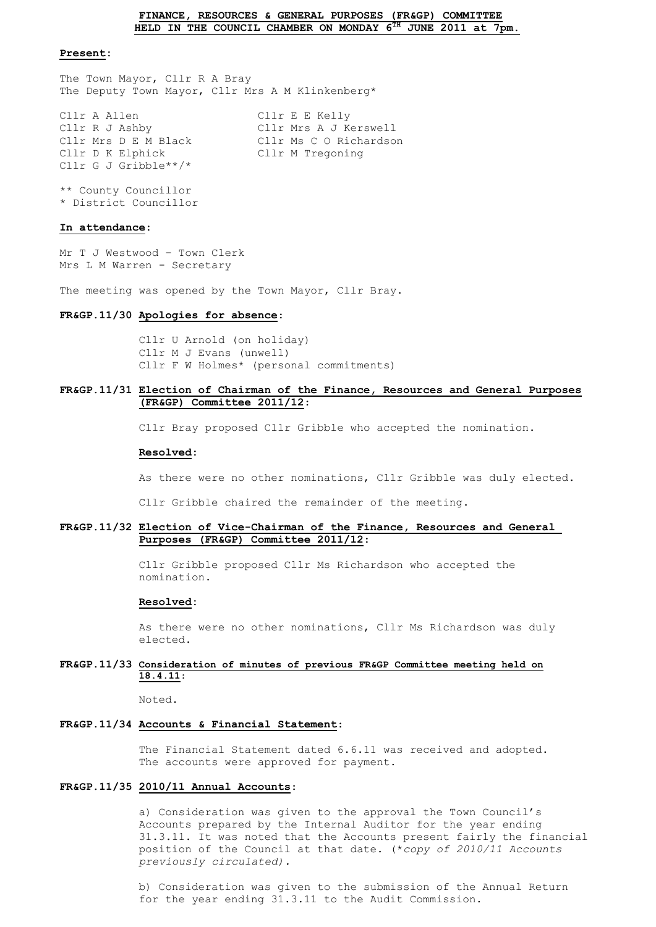#### **FINANCE, RESOURCES & GENERAL PURPOSES (FR&GP) COMMITTEE HELD IN THE COUNCIL CHAMBER ON MONDAY 6TH JUNE 2011 at 7pm.**

### **Present:**

The Town Mayor, Cllr R A Bray The Deputy Town Mayor, Cllr Mrs A M Klinkenberg\*

Cllr A Allen Cllr E E Kelly Cllr R J Ashby Cllr Mrs A J Kerswell Cllr Mrs D E M Black Cllr Ms C O Richardson Cllr D K Elphick Cllr M Tregoning Cllr G J Gribble\*\*/\*

\*\* County Councillor \* District Councillor

#### **In attendance:**

Mr T J Westwood – Town Clerk Mrs L M Warren - Secretary

The meeting was opened by the Town Mayor, Cllr Bray.

#### **FR&GP.11/30 Apologies for absence**:

Cllr U Arnold (on holiday) Cllr M J Evans (unwell) Cllr F W Holmes\* (personal commitments)

## **FR&GP.11/31 Election of Chairman of the Finance, Resources and General Purposes (FR&GP) Committee 2011/12**:

Cllr Bray proposed Cllr Gribble who accepted the nomination.

#### **Resolved:**

As there were no other nominations, Cllr Gribble was duly elected.

Cllr Gribble chaired the remainder of the meeting.

### **FR&GP.11/32 Election of Vice-Chairman of the Finance, Resources and General Purposes (FR&GP) Committee 2011/12**:

Cllr Gribble proposed Cllr Ms Richardson who accepted the nomination.

#### **Resolved:**

As there were no other nominations, Cllr Ms Richardson was duly elected.

## **FR&GP.11/33 Consideration of minutes of previous FR&GP Committee meeting held on 18.4.11**:

Noted.

## **FR&GP.11/34 Accounts & Financial Statement**:

The Financial Statement dated 6.6.11 was received and adopted. The accounts were approved for payment.

## **FR&GP.11/35 2010/11 Annual Accounts**:

a) Consideration was given to the approval the Town Council's Accounts prepared by the Internal Auditor for the year ending 31.3.11. It was noted that the Accounts present fairly the financial position of the Council at that date. (\**copy of 2010/11 Accounts previously circulated).*

b) Consideration was given to the submission of the Annual Return for the year ending 31.3.11 to the Audit Commission.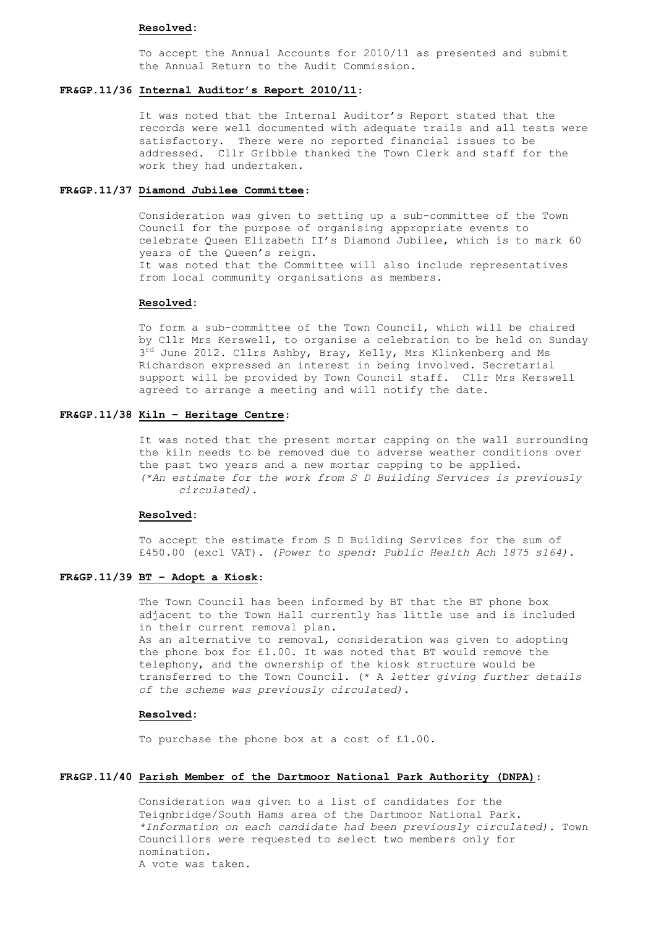#### **Resolved:**

To accept the Annual Accounts for 2010/11 as presented and submit the Annual Return to the Audit Commission.

## **FR&GP.11/36 Internal Auditor's Report 2010/11**:

It was noted that the Internal Auditor's Report stated that the records were well documented with adequate trails and all tests were satisfactory. There were no reported financial issues to be addressed. Cllr Gribble thanked the Town Clerk and staff for the work they had undertaken.

## **FR&GP.11/37 Diamond Jubilee Committee**:

Consideration was given to setting up a sub-committee of the Town Council for the purpose of organising appropriate events to celebrate Queen Elizabeth II's Diamond Jubilee, which is to mark 60 years of the Queen's reign. It was noted that the Committee will also include representatives from local community organisations as members.

## **Resolved:**

To form a sub-committee of the Town Council, which will be chaired by Cllr Mrs Kerswell, to organise a celebration to be held on Sunday 3<sup>rd</sup> June 2012. Cllrs Ashby, Bray, Kelly, Mrs Klinkenberg and Ms Richardson expressed an interest in being involved. Secretarial support will be provided by Town Council staff. Cllr Mrs Kerswell agreed to arrange a meeting and will notify the date.

## **FR&GP.11/38 Kiln – Heritage Centre**:

It was noted that the present mortar capping on the wall surrounding the kiln needs to be removed due to adverse weather conditions over the past two years and a new mortar capping to be applied. *(\*An estimate for the work from S D Building Services is previously circulated).*

## **Resolved:**

To accept the estimate from S D Building Services for the sum of £450.00 (excl VAT). *(Power to spend: Public Health Ach 1875 s164).*

## **FR&GP.11/39 BT – Adopt a Kiosk**:

The Town Council has been informed by BT that the BT phone box adjacent to the Town Hall currently has little use and is included in their current removal plan. As an alternative to removal, consideration was given to adopting the phone box for £1.00. It was noted that BT would remove the telephony, and the ownership of the kiosk structure would be transferred to the Town Council. (\* A *letter giving further details of the scheme was previously circulated).*

#### **Resolved:**

To purchase the phone box at a cost of £1.00.

## **FR&GP.11/40 Parish Member of the Dartmoor National Park Authority (DNPA)**:

Consideration was given to a list of candidates for the Teignbridge/South Hams area of the Dartmoor National Park. *\*Information on each candidate had been previously circulated).* Town Councillors were requested to select two members only for nomination. A vote was taken.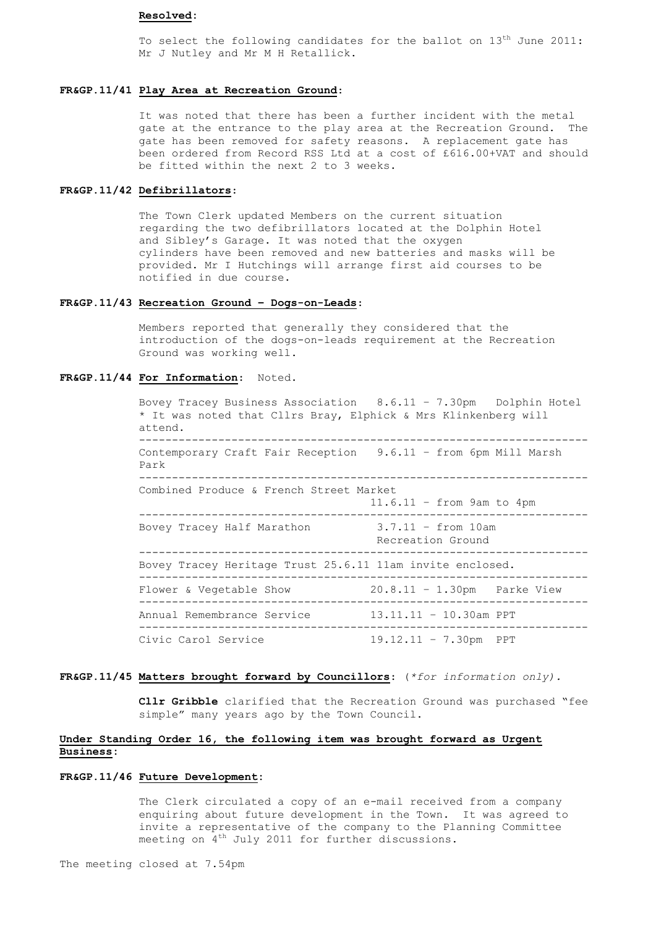### **Resolved:**

To select the following candidates for the ballot on 13<sup>th</sup> June 2011: Mr J Nutley and Mr M H Retallick.

## **FR&GP.11/41 Play Area at Recreation Ground**:

It was noted that there has been a further incident with the metal gate at the entrance to the play area at the Recreation Ground. The gate has been removed for safety reasons. A replacement gate has been ordered from Record RSS Ltd at a cost of £616.00+VAT and should be fitted within the next 2 to 3 weeks.

## **FR&GP.11/42 Defibrillators**:

The Town Clerk updated Members on the current situation regarding the two defibrillators located at the Dolphin Hotel and Sibley's Garage. It was noted that the oxygen cylinders have been removed and new batteries and masks will be provided. Mr I Hutchings will arrange first aid courses to be notified in due course.

## **FR&GP.11/43 Recreation Ground – Dogs-on-Leads**:

Members reported that generally they considered that the introduction of the dogs-on-leads requirement at the Recreation Ground was working well.

#### **FR&GP.11/44 For Information**: Noted.

Bovey Tracey Business Association 8.6.11 – 7.30pm Dolphin Hotel \* It was noted that Cllrs Bray, Elphick & Mrs Klinkenberg will attend. -------------------------------------------------------------------- Contemporary Craft Fair Reception 9.6.11 – from 6pm Mill Marsh Park -------------------------------------------------------------------- Combined Produce & French Street Market 11.6.11 – from 9am to 4pm -------------------------------------------------------------------- Bovey Tracey Half Marathon 3.7.11 – from 10am Recreation Ground -------------------------------------------------------------------- Bovey Tracey Heritage Trust 25.6.11 11am invite enclosed. -------------------------------------------------------------------- Flower & Vegetable Show 20.8.11 - 1.30pm Parke View -------------------------------------------------------------------- Annual Remembrance Service 13.11.11 – 10.30am PPT -------------------------------------------------------------------- Civic Carol Service 19.12.11 – 7.30pm PPT

### **FR&GP.11/45 Matters brought forward by Councillors**: (*\*for information only).*

**Cllr Gribble** clarified that the Recreation Ground was purchased "fee simple" many years ago by the Town Council.

## **Under Standing Order 16, the following item was brought forward as Urgent Business:**

## **FR&GP.11/46 Future Development:**

The Clerk circulated a copy of an e-mail received from a company enquiring about future development in the Town. It was agreed to invite a representative of the company to the Planning Committee meeting on 4<sup>th</sup> July 2011 for further discussions.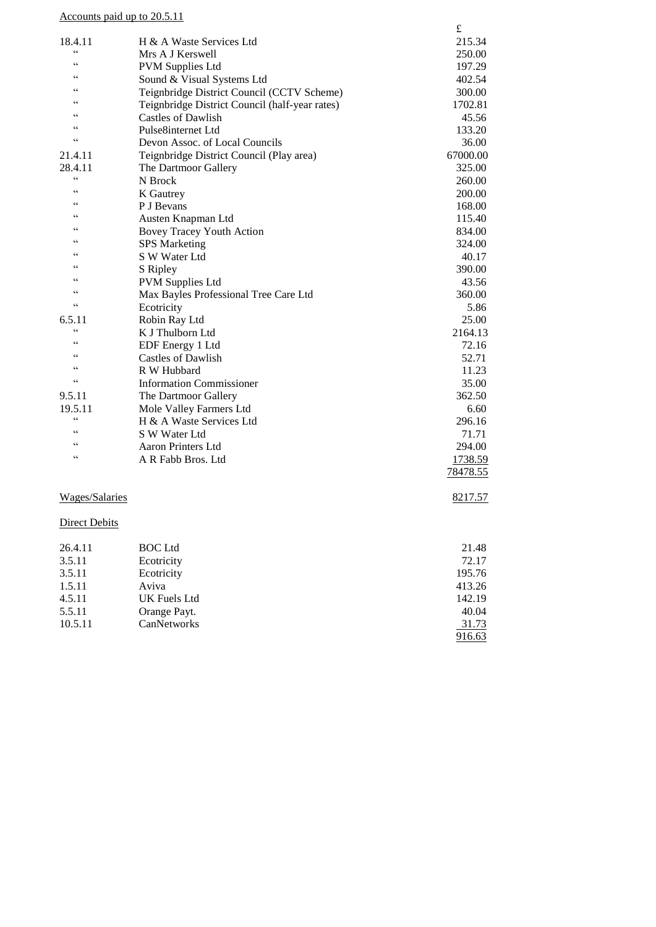|                     | Accounts paid up to 20.5.11                    |          |
|---------------------|------------------------------------------------|----------|
|                     |                                                | £        |
| 18.4.11             | H & A Waste Services Ltd                       | 215.34   |
| $\zeta$             | Mrs A J Kerswell                               | 250.00   |
| $\epsilon$          | <b>PVM Supplies Ltd</b>                        | 197.29   |
| $\epsilon$          | Sound & Visual Systems Ltd                     | 402.54   |
| $\epsilon$          | Teignbridge District Council (CCTV Scheme)     | 300.00   |
| $\epsilon$          | Teignbridge District Council (half-year rates) | 1702.81  |
| C                   | <b>Castles of Dawlish</b>                      | 45.56    |
| C                   | Pulse8internet Ltd                             | 133.20   |
| $\zeta$             | Devon Assoc. of Local Councils                 | 36.00    |
| 21.4.11             | Teignbridge District Council (Play area)       | 67000.00 |
| 28.4.11             | The Dartmoor Gallery                           | 325.00   |
| C                   | N Brock                                        | 260.00   |
| $\epsilon$          | K Gautrey                                      | 200.00   |
| $\epsilon$          | P J Bevans                                     | 168.00   |
| $\epsilon$          | Austen Knapman Ltd                             | 115.40   |
| $\epsilon$          | <b>Bovey Tracey Youth Action</b>               | 834.00   |
| C                   | <b>SPS</b> Marketing                           | 324.00   |
| C                   | S W Water Ltd                                  | 40.17    |
| C                   | S Ripley                                       | 390.00   |
| C                   | <b>PVM Supplies Ltd</b>                        | 43.56    |
| C                   | Max Bayles Professional Tree Care Ltd          | 360.00   |
| $\zeta$             | Ecotricity                                     | 5.86     |
| 6.5.11              | Robin Ray Ltd                                  | 25.00    |
| $\zeta$             | K J Thulborn Ltd                               | 2164.13  |
| C                   | EDF Energy 1 Ltd                               | 72.16    |
| C                   | <b>Castles of Dawlish</b>                      | 52.71    |
| C                   | R W Hubbard                                    | 11.23    |
| cc                  | <b>Information Commissioner</b>                | 35.00    |
| 9.5.11              | The Dartmoor Gallery                           | 362.50   |
| 19.5.11             | Mole Valley Farmers Ltd                        | 6.60     |
| C                   | H & A Waste Services Ltd                       | 296.16   |
| $\epsilon$          | S W Water Ltd                                  | 71.71    |
| $\subset$ $\subset$ | <b>Aaron Printers Ltd</b>                      | 294.00   |
| $\zeta$             | A R Fabb Bros. Ltd                             | 1738.59  |
|                     |                                                | 78478.55 |
|                     |                                                |          |
|                     |                                                |          |

# Wages/Salaries 8217.57

## **Direct Debits**

| 26.4.11 | <b>BOC</b> Ltd | 21.48  |
|---------|----------------|--------|
| 3.5.11  | Ecotricity     | 72.17  |
| 3.5.11  | Ecotricity     | 195.76 |
| 1.5.11  | Aviva          | 413.26 |
| 4.5.11  | UK Fuels Ltd   | 142.19 |
| 5.5.11  | Orange Payt.   | 40.04  |
| 10.5.11 | CanNetworks    | 31.73  |
|         |                | 916.63 |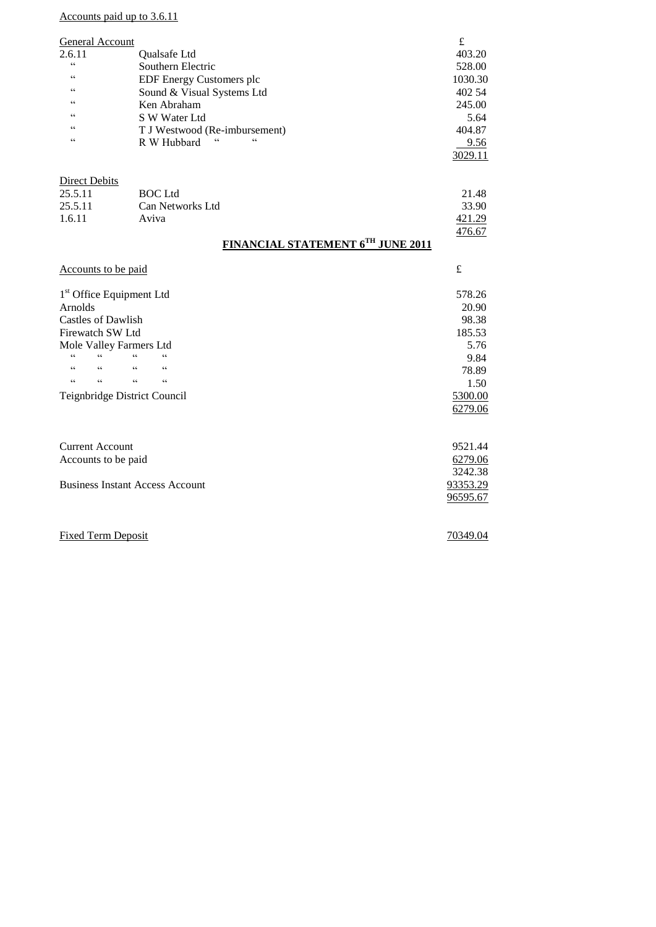Accounts paid up to 3.6.11

| General Account                      |                                                                                | £       |
|--------------------------------------|--------------------------------------------------------------------------------|---------|
| 2.6.11                               | Qualsafe Ltd                                                                   | 403.20  |
| $\mathsf{c}\,\mathsf{c}$             | Southern Electric                                                              | 528.00  |
| C                                    | EDF Energy Customers plc                                                       | 1030.30 |
| $\epsilon$                           | Sound & Visual Systems Ltd                                                     | 402 54  |
| C                                    | Ken Abraham                                                                    | 245.00  |
| C                                    | S W Water Ltd                                                                  | 5.64    |
| C                                    | T J Westwood (Re-imbursement)                                                  | 404.87  |
| $\epsilon$                           | $\epsilon$<br>$\boldsymbol{\varsigma}$ $\boldsymbol{\varsigma}$<br>R W Hubbard | 9.56    |
|                                      |                                                                                | 3029.11 |
| <b>Direct Debits</b>                 |                                                                                |         |
| 25.5.11                              | <b>BOC</b> Ltd                                                                 | 21.48   |
| 25.5.11                              | Can Networks Ltd                                                               | 33.90   |
| 1.6.11                               | Aviva                                                                          | 421.29  |
|                                      |                                                                                | 476.67  |
|                                      | <b>FINANCIAL STATEMENT 6TH JUNE 2011</b>                                       |         |
| Accounts to be paid                  |                                                                                | £       |
| 1 <sup>st</sup> Office Equipment Ltd |                                                                                | 578.26  |
| Arnolds                              |                                                                                | 20.90   |
| <b>Castles of Dawlish</b>            |                                                                                | 98.38   |
| Firewatch SW Ltd                     |                                                                                | 185.53  |
| Mole Valley Farmers Ltd              |                                                                                | 5.76    |
| $\epsilon$<br>cc                     | $\epsilon$<br>C                                                                | 9.84    |
| cc<br>cc                             | cc<br>cc                                                                       | 78.89   |
| $\mathsf{c}\,\mathsf{c}$<br>cc       | $\epsilon$<br>$\mathsf{c}\,\mathsf{c}$                                         | 1.50    |
|                                      | Teignbridge District Council                                                   | 5300.00 |
|                                      |                                                                                | 6279.06 |
|                                      |                                                                                |         |
| <b>Current Account</b>               |                                                                                | 9521.44 |
| Accounts to be paid                  |                                                                                | 6279.06 |

| <b>Business Instant Access Account</b> | 93353.29 |
|----------------------------------------|----------|
|----------------------------------------|----------|

Fixed Term Deposit 70349.04

 $3242.38$ 

96595.67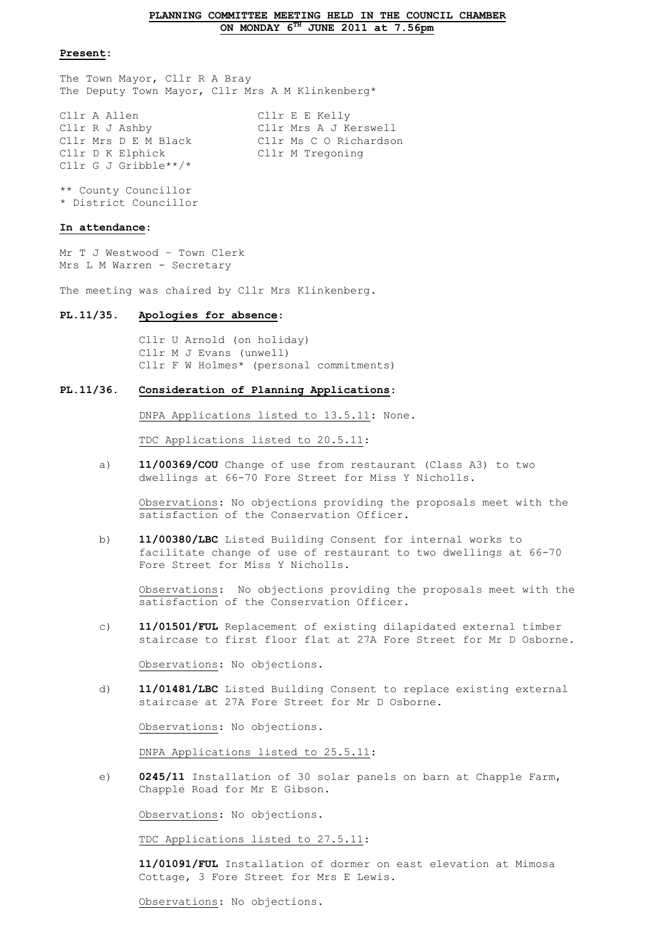### **PLANNING COMMITTEE MEETING HELD IN THE COUNCIL CHAMBER ON MONDAY 6TH JUNE 2011 at 7.56pm**

### **Present:**

The Town Mayor, Cllr R A Bray The Deputy Town Mayor, Cllr Mrs A M Klinkenberg\*

| Cllr A Allen         | Cllr E E Kelly         |
|----------------------|------------------------|
| Cllr R J Ashby       | Cllr Mrs A J Kerswell  |
| Cllr Mrs D E M Black | Cllr Ms C O Richardson |
| Cllr D K Elphick     | Cllr M Tregoning       |
| Cllr G J Gribble**/* |                        |

\*\* County Councillor \* District Councillor

#### **In attendance:**

Mr T J Westwood – Town Clerk Mrs L M Warren - Secretary

The meeting was chaired by Cllr Mrs Klinkenberg.

#### **PL.11/35. Apologies for absence**:

Cllr U Arnold (on holiday) Cllr M J Evans (unwell) Cllr F W Holmes\* (personal commitments)

### **PL.11/36. Consideration of Planning Applications**:

DNPA Applications listed to 13.5.11: None.

TDC Applications listed to 20.5.11:

a) **11/00369/COU** Change of use from restaurant (Class A3) to two dwellings at 66-70 Fore Street for Miss Y Nicholls.

Observations: No objections providing the proposals meet with the satisfaction of the Conservation Officer.

b) **11/00380/LBC** Listed Building Consent for internal works to facilitate change of use of restaurant to two dwellings at 66-70 Fore Street for Miss Y Nicholls.

Observations: No objections providing the proposals meet with the satisfaction of the Conservation Officer.

c) **11/01501/FUL** Replacement of existing dilapidated external timber staircase to first floor flat at 27A Fore Street for Mr D Osborne.

Observations: No objections.

d) **11/01481/LBC** Listed Building Consent to replace existing external staircase at 27A Fore Street for Mr D Osborne.

Observations: No objections.

DNPA Applications listed to 25.5.11:

e) **0245/11** Installation of 30 solar panels on barn at Chapple Farm, Chapple Road for Mr E Gibson.

Observations: No objections.

TDC Applications listed to 27.5.11:

**11/01091/FUL** Installation of dormer on east elevation at Mimosa Cottage, 3 Fore Street for Mrs E Lewis.

Observations: No objections.